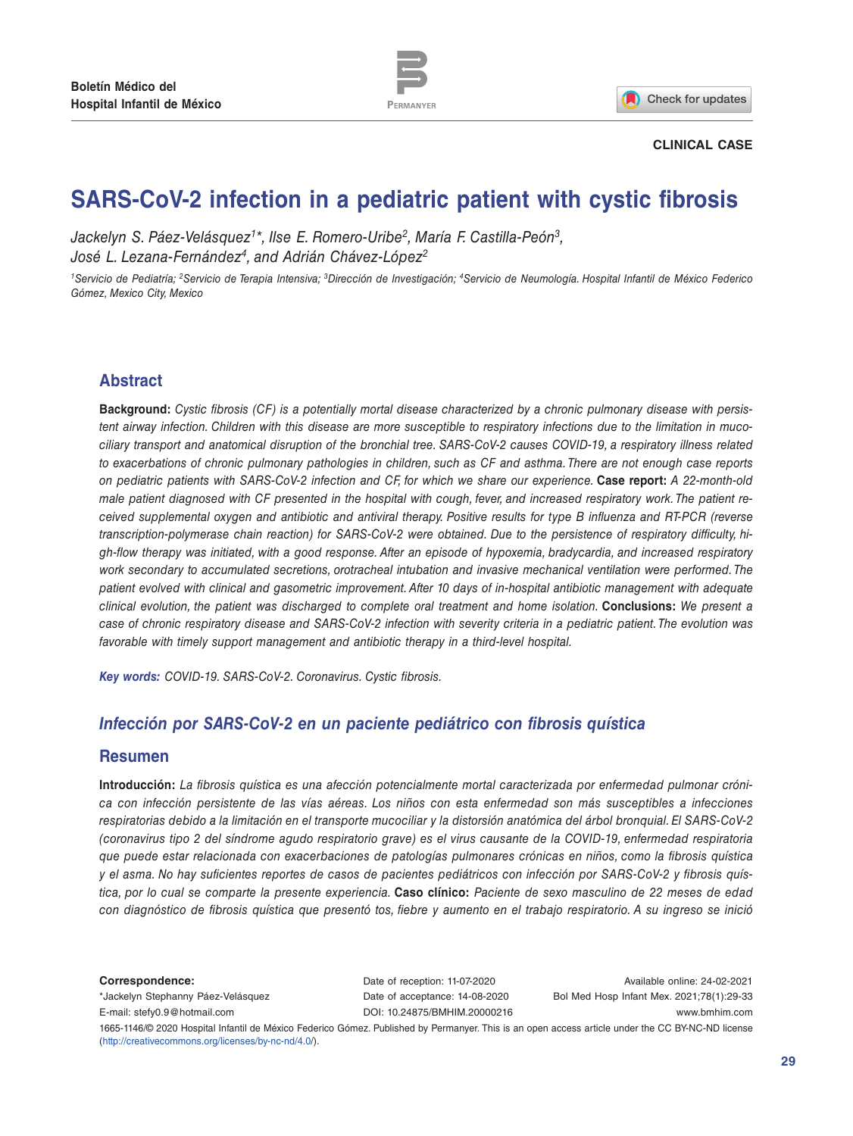

Check for updates

#### **CLINICAL CASE**

# **SARS-CoV-2 infection in a pediatric patient with cystic fibrosis**

Jackelyn S. Páez-Velásquez<sup>1\*</sup>, Ilse E. Romero-Uribe<sup>2</sup>, María F. Castilla-Peón<sup>3</sup>, *José L. Lezana-Fernández4, and Adrián Chávez-López2*

*1Servicio de Pediatría; 2Servicio de Terapia Intensiva; 3Dirección de Investigación; 4Servicio de Neumología. Hospital Infantil de México Federico Gómez, Mexico City, Mexico*

## **Abstract**

**Background:** *Cystic fibrosis (CF) is a potentially mortal disease characterized by a chronic pulmonary disease with persistent airway infection. Children with this disease are more susceptible to respiratory infections due to the limitation in mucociliary transport and anatomical disruption of the bronchial tree. SARS-CoV-2 causes COVID-19, a respiratory illness related to exacerbations of chronic pulmonary pathologies in children, such as CF and asthma. There are not enough case reports on pediatric patients with SARS-CoV-2 infection and CF, for which we share our experience.* **Case report:** *A 22-month-old male patient diagnosed with CF presented in the hospital with cough, fever, and increased respiratory work. The patient received supplemental oxygen and antibiotic and antiviral therapy. Positive results for type B influenza and RT-PCR (reverse transcription-polymerase chain reaction) for SARS-CoV-2 were obtained. Due to the persistence of respiratory difficulty, high-flow therapy was initiated, with a good response. After an episode of hypoxemia, bradycardia, and increased respiratory work secondary to accumulated secretions, orotracheal intubation and invasive mechanical ventilation were performed. The patient evolved with clinical and gasometric improvement. After 10 days of in-hospital antibiotic management with adequate clinical evolution, the patient was discharged to complete oral treatment and home isolation.* **Conclusions:** *We present a case of chronic respiratory disease and SARS-CoV-2 infection with severity criteria in a pediatric patient. The evolution was favorable with timely support management and antibiotic therapy in a third-level hospital.*

*Key words: COVID-19. SARS-CoV-2. Coronavirus. Cystic fibrosis.*

## *Infección por SARS-CoV-2 en un paciente pediátrico con fibrosis quística*

### **Resumen**

**Introducción:** *La fibrosis quística es una afección potencialmente mortal caracterizada por enfermedad pulmonar crónica con infección persistente de las vías aéreas. Los niños con esta enfermedad son más susceptibles a infecciones respiratorias debido a la limitación en el transporte mucociliar y la distorsión anatómica del árbol bronquial. El SARS-CoV-2 (coronavirus tipo 2 del síndrome agudo respiratorio grave) es el virus causante de la COVID-19, enfermedad respiratoria que puede estar relacionada con exacerbaciones de patologías pulmonares crónicas en niños, como la fibrosis quística y el asma. No hay suficientes reportes de casos de pacientes pediátricos con infección por SARS-CoV-2 y fibrosis quística, por lo cual se comparte la presente experiencia.* **Caso clínico:** *Paciente de sexo masculino de 22 meses de edad con diagnóstico de fibrosis quística que presentó tos, fiebre y aumento en el trabajo respiratorio. A su ingreso se inició* 

**Correspondence:**

\*Jackelyn Stephanny Páez-Velásquez E-mail: [stefy0.9@hotmail.com](mailto:stefy0.9%40hotmail.com?subject=)

Date of reception: 11-07-2020 Date of acceptance: 14-08-2020 DOI: [10.24875/BMHIM.20000216](http://dx.doi.org/10.24875/BMHIM.20000216)

Available online: 24-02-2021 Bol Med Hosp Infant Mex. 2021;78(1):29-33 <www.bmhim.com>

1665-1146/© 2020 Hospital Infantil de México Federico Gómez. Published by Permanyer. This is an open access article under the CC BY-NC-ND license (<http://creativecommons.org/licenses/by-nc-nd/4.0/>).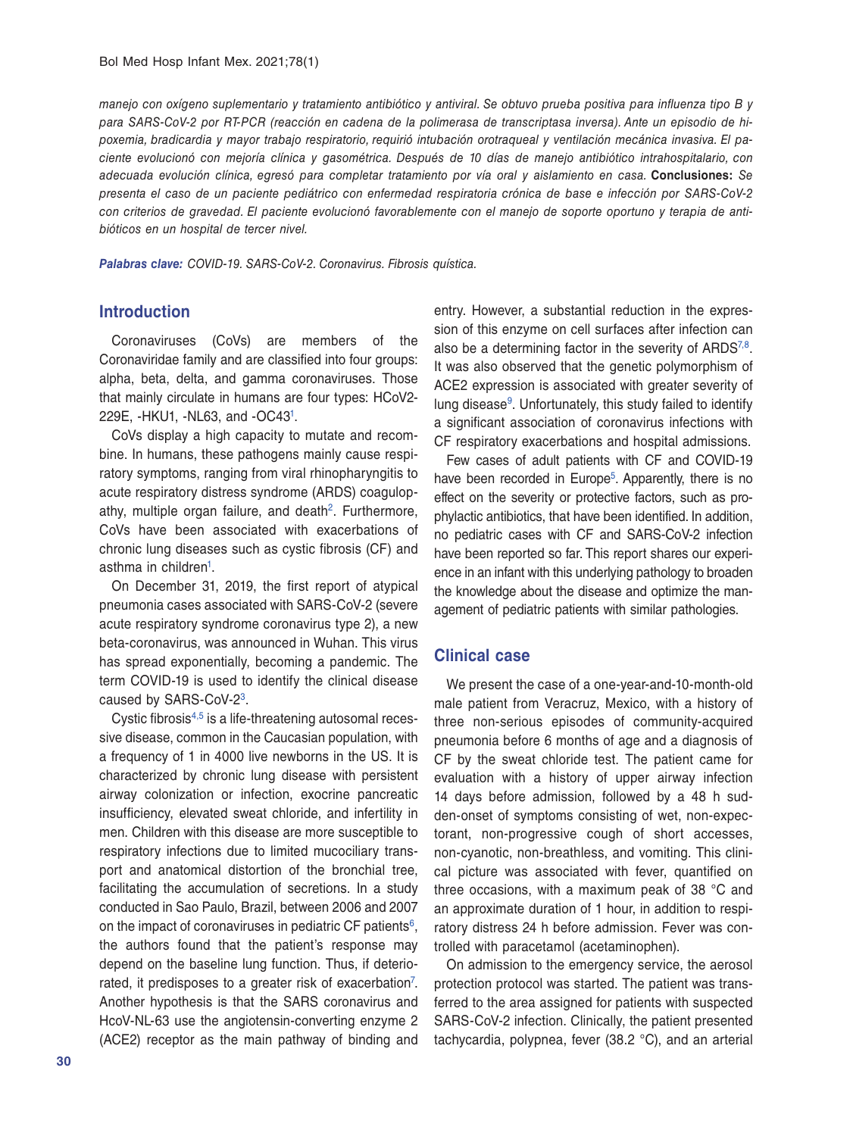*manejo con oxígeno suplementario y tratamiento antibiótico y antiviral. Se obtuvo prueba positiva para influenza tipo B y para SARS-CoV-2 por RT-PCR (reacción en cadena de la polimerasa de transcriptasa inversa). Ante un episodio de hipoxemia, bradicardia y mayor trabajo respiratorio, requirió intubación orotraqueal y ventilación mecánica invasiva. El paciente evolucionó con mejoría clínica y gasométrica. Después de 10 días de manejo antibiótico intrahospitalario, con adecuada evolución clínica, egresó para completar tratamiento por vía oral y aislamiento en casa.* **Conclusiones:** *Se presenta el caso de un paciente pediátrico con enfermedad respiratoria crónica de base e infección por SARS-CoV-2 con criterios de gravedad. El paciente evolucionó favorablemente con el manejo de soporte oportuno y terapia de antibióticos en un hospital de tercer nivel.*

*Palabras clave: COVID-19. SARS-CoV-2. Coronavirus. Fibrosis quística.*

### **Introduction**

Coronaviruses (CoVs) are members of the Coronaviridae family and are classified into four groups: alpha, beta, delta, and gamma coronaviruses. Those that mainly circulate in humans are four types: HCoV2- 229E, -HKU1, -NL63, and -OC43[1.](#page-4-0)

CoVs display a high capacity to mutate and recombine. In humans, these pathogens mainly cause respiratory symptoms, ranging from viral rhinopharyngitis to acute respiratory distress syndrome (ARDS) coagulopathy, multiple organ failure, and death<sup>2</sup>. Furthermore, CoVs have been associated with exacerbations of chronic lung diseases such as cystic fibrosis (CF) and asthma in children<sup>1</sup>.

On December 31, 2019, the first report of atypical pneumonia cases associated with SARS-CoV-2 (severe acute respiratory syndrome coronavirus type 2), a new beta-coronavirus, was announced in Wuhan. This virus has spread exponentially, becoming a pandemic. The term COVID-19 is used to identify the clinical disease caused by SARS-CoV-2[3](#page-4-2).

Cystic fibrosis[4](#page-4-3),[5](#page-4-4) is a life-threatening autosomal recessive disease, common in the Caucasian population, with a frequency of 1 in 4000 live newborns in the US. It is characterized by chronic lung disease with persistent airway colonization or infection, exocrine pancreatic insufficiency, elevated sweat chloride, and infertility in men. Children with this disease are more susceptible to respiratory infections due to limited mucociliary transport and anatomical distortion of the bronchial tree, facilitating the accumulation of secretions. In a study conducted in Sao Paulo, Brazil, between 2006 and 2007 on the impact of coronaviruses in pediatric CF patients<sup>[6](#page-4-5)</sup>, the authors found that the patient's response may depend on the baseline lung function. Thus, if deteriorated, it predisposes to a greater risk of exacerbation<sup>7</sup>. Another hypothesis is that the SARS coronavirus and HcoV-NL-63 use the angiotensin-converting enzyme 2 (ACE2) receptor as the main pathway of binding and

entry. However, a substantial reduction in the expression of this enzyme on cell surfaces after infection can also be a determining factor in the severity of  $ARDS^{7,8}$  $ARDS^{7,8}$  $ARDS^{7,8}$ . It was also observed that the genetic polymorphism of ACE2 expression is associated with greater severity of lung disease<sup>9</sup>. Unfortunately, this study failed to identify a significant association of coronavirus infections with CF respiratory exacerbations and hospital admissions.

Few cases of adult patients with CF and COVID-19 have been recorded in Europe<sup>5</sup>. Apparently, there is no effect on the severity or protective factors, such as prophylactic antibiotics, that have been identified. In addition, no pediatric cases with CF and SARS-CoV-2 infection have been reported so far. This report shares our experience in an infant with this underlying pathology to broaden the knowledge about the disease and optimize the management of pediatric patients with similar pathologies.

## **Clinical case**

We present the case of a one-year-and-10-month-old male patient from Veracruz, Mexico, with a history of three non-serious episodes of community-acquired pneumonia before 6 months of age and a diagnosis of CF by the sweat chloride test. The patient came for evaluation with a history of upper airway infection 14 days before admission, followed by a 48 h sudden-onset of symptoms consisting of wet, non-expectorant, non-progressive cough of short accesses, non-cyanotic, non-breathless, and vomiting. This clinical picture was associated with fever, quantified on three occasions, with a maximum peak of 38 °C and an approximate duration of 1 hour, in addition to respiratory distress 24 h before admission. Fever was controlled with paracetamol (acetaminophen).

On admission to the emergency service, the aerosol protection protocol was started. The patient was transferred to the area assigned for patients with suspected SARS-CoV-2 infection. Clinically, the patient presented tachycardia, polypnea, fever (38.2 °C), and an arterial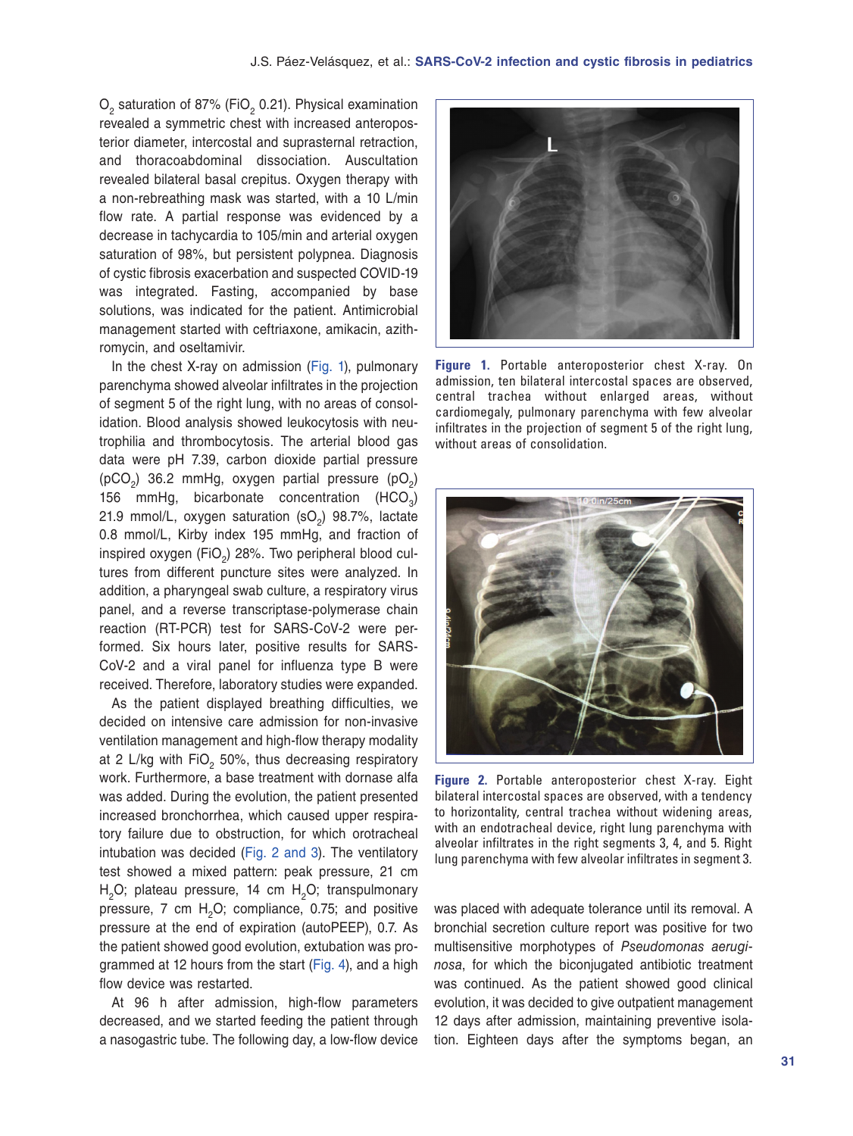$O_2$  saturation of 87% (FiO<sub>2</sub> 0.21). Physical examination revealed a symmetric chest with increased anteroposterior diameter, intercostal and suprasternal retraction, and thoracoabdominal dissociation. Auscultation revealed bilateral basal crepitus. Oxygen therapy with a non-rebreathing mask was started, with a 10 L/min flow rate. A partial response was evidenced by a decrease in tachycardia to 105/min and arterial oxygen saturation of 98%, but persistent polypnea. Diagnosis of cystic fibrosis exacerbation and suspected COVID-19 was integrated. Fasting, accompanied by base solutions, was indicated for the patient. Antimicrobial management started with ceftriaxone, amikacin, azithromycin, and oseltamivir.

In the chest X-ray on admission (Fig. 1), pulmonary parenchyma showed alveolar infiltrates in the projection of segment 5 of the right lung, with no areas of consolidation. Blood analysis showed leukocytosis with neutrophilia and thrombocytosis. The arterial blood gas data were pH 7.39, carbon dioxide partial pressure ( $pCO<sub>2</sub>$ ) 36.2 mmHg, oxygen partial pressure ( $pO<sub>2</sub>$ ) 156 mmHg, bicarbonate concentration  $(HCO<sub>2</sub>)$ 21.9 mmol/L, oxygen saturation  $(SO<sub>2</sub>)$  98.7%, lactate 0.8 mmol/L, Kirby index 195 mmHg, and fraction of inspired oxygen (FiO<sub>2</sub>) 28%. Two peripheral blood cultures from different puncture sites were analyzed. In addition, a pharyngeal swab culture, a respiratory virus panel, and a reverse transcriptase-polymerase chain reaction (RT-PCR) test for SARS-CoV-2 were performed. Six hours later, positive results for SARS-CoV-2 and a viral panel for influenza type B were received. Therefore, laboratory studies were expanded.

As the patient displayed breathing difficulties, we decided on intensive care admission for non-invasive ventilation management and high-flow therapy modality at 2 L/kg with FiO<sub>2</sub> 50%, thus decreasing respiratory work. Furthermore, a base treatment with dornase alfa was added. During the evolution, the patient presented increased bronchorrhea, which caused upper respiratory failure due to obstruction, for which orotracheal intubation was decided (Fig. 2 and [3](#page-3-0)). The ventilatory test showed a mixed pattern: peak pressure, 21 cm  $H<sub>2</sub>O$ ; plateau pressure, 14 cm  $H<sub>2</sub>O$ ; transpulmonary pressure,  $7 \text{ cm } H<sub>2</sub>O$ ; compliance, 0.75; and positive pressure at the end of expiration (autoPEEP), 0.7. As the patient showed good evolution, extubation was programmed at 12 hours from the start ([Fig. 4](#page-3-0)), and a high flow device was restarted.

At 96 h after admission, high-flow parameters decreased, and we started feeding the patient through a nasogastric tube. The following day, a low-flow device



**Figure 1.** Portable anteroposterior chest X-ray. On admission, ten bilateral intercostal spaces are observed, central trachea without enlarged areas, without cardiomegaly, pulmonary parenchyma with few alveolar infiltrates in the projection of segment 5 of the right lung, without areas of consolidation.



**Figure 2.** Portable anteroposterior chest X-ray. Eight bilateral intercostal spaces are observed, with a tendency to horizontality, central trachea without widening areas, with an endotracheal device, right lung parenchyma with alveolar infiltrates in the right segments 3, 4, and 5. Right lung parenchyma with few alveolar infiltrates in segment 3.

was placed with adequate tolerance until its removal. A bronchial secretion culture report was positive for two multisensitive morphotypes of *Pseudomonas aeruginosa*, for which the biconjugated antibiotic treatment was continued. As the patient showed good clinical evolution, it was decided to give outpatient management 12 days after admission, maintaining preventive isolation. Eighteen days after the symptoms began, an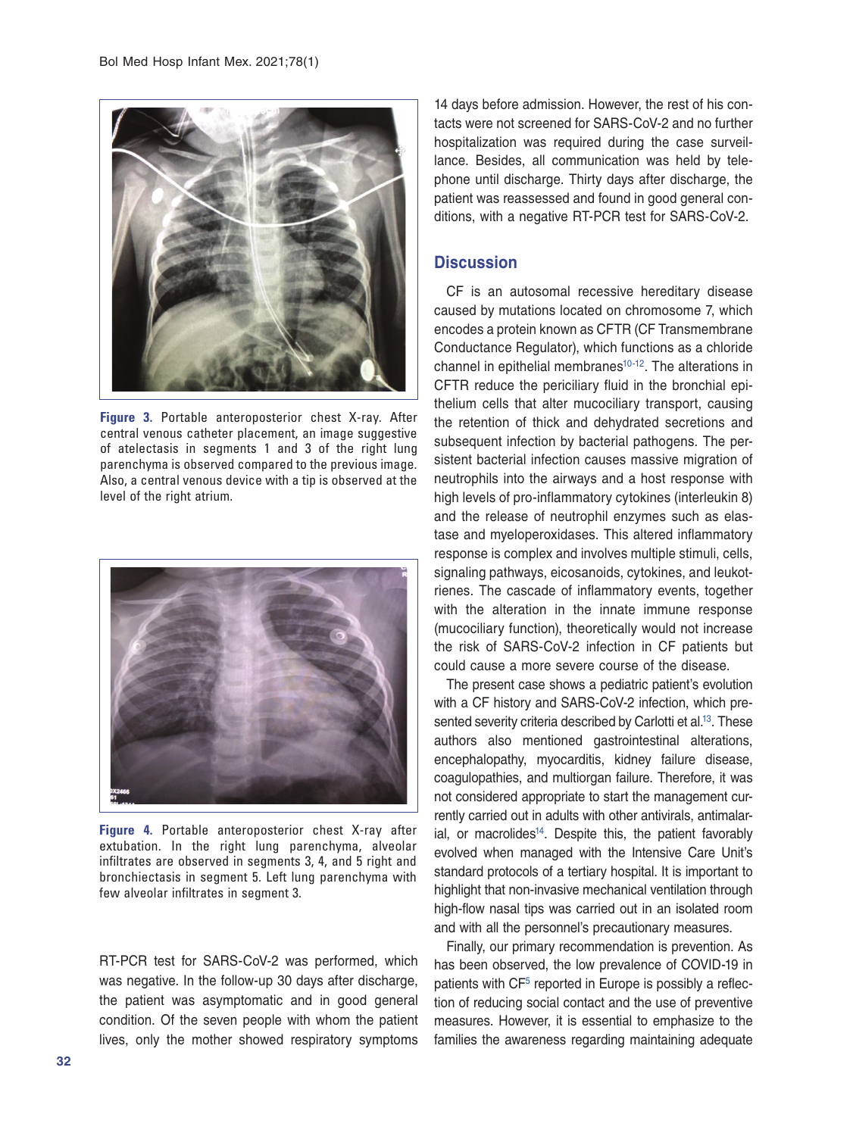<span id="page-3-0"></span>

**Figure 3.** Portable anteroposterior chest X-ray. After central venous catheter placement, an image suggestive of atelectasis in segments 1 and 3 of the right lung parenchyma is observed compared to the previous image. Also, a central venous device with a tip is observed at the level of the right atrium.



**Figure 4.** Portable anteroposterior chest X-ray after extubation. In the right lung parenchyma, alveolar infiltrates are observed in segments 3, 4, and 5 right and bronchiectasis in segment 5. Left lung parenchyma with few alveolar infiltrates in segment 3.

RT-PCR test for SARS-CoV-2 was performed, which was negative. In the follow-up 30 days after discharge, the patient was asymptomatic and in good general condition. Of the seven people with whom the patient lives, only the mother showed respiratory symptoms

14 days before admission. However, the rest of his contacts were not screened for SARS-CoV-2 and no further hospitalization was required during the case surveillance. Besides, all communication was held by telephone until discharge. Thirty days after discharge, the patient was reassessed and found in good general conditions, with a negative RT-PCR test for SARS-CoV-2.

## **Discussion**

CF is an autosomal recessive hereditary disease caused by mutations located on chromosome 7, which encodes a protein known as CFTR (CF Transmembrane Conductance Regulator), which functions as a chloride channel in epithelial membranes $10-12$  $10-12$ . The alterations in CFTR reduce the periciliary fluid in the bronchial epithelium cells that alter mucociliary transport, causing the retention of thick and dehydrated secretions and subsequent infection by bacterial pathogens. The persistent bacterial infection causes massive migration of neutrophils into the airways and a host response with high levels of pro-inflammatory cytokines (interleukin 8) and the release of neutrophil enzymes such as elastase and myeloperoxidases. This altered inflammatory response is complex and involves multiple stimuli, cells, signaling pathways, eicosanoids, cytokines, and leukotrienes. The cascade of inflammatory events, together with the alteration in the innate immune response (mucociliary function), theoretically would not increase the risk of SARS-CoV-2 infection in CF patients but could cause a more severe course of the disease.

The present case shows a pediatric patient's evolution with a CF history and SARS-CoV-2 infection, which presented severity criteria described by Carlotti et al.<sup>13</sup>. These authors also mentioned gastrointestinal alterations, encephalopathy, myocarditis, kidney failure disease, coagulopathies, and multiorgan failure. Therefore, it was not considered appropriate to start the management currently carried out in adults with other antivirals, antimalarial, or macrolides<sup>14</sup>. Despite this, the patient favorably evolved when managed with the Intensive Care Unit's standard protocols of a tertiary hospital. It is important to highlight that non-invasive mechanical ventilation through high-flow nasal tips was carried out in an isolated room and with all the personnel's precautionary measures.

Finally, our primary recommendation is prevention. As has been observed, the low prevalence of COVID-19 in patients with CF<sup>5</sup> reported in Europe is possibly a reflection of reducing social contact and the use of preventive measures. However, it is essential to emphasize to the families the awareness regarding maintaining adequate